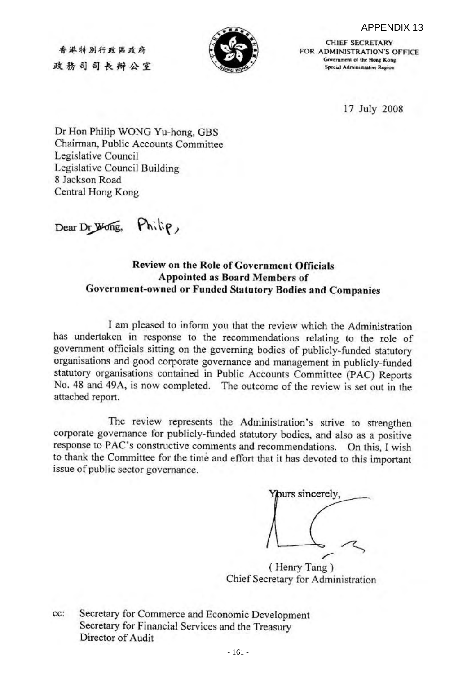APPENDIX 13



**CHIEF SECRETARY** FOR ADMINISTRATION'S OFFICE Government of the Hong Kong Special Administrative Region

17 July 2008

Dr Hon Philip WONG Yu-hong, GBS Chairman, Public Accounts Committee Legislative Council Legislative Council Building 8 Jackson Road Central Hong Kong

Philip, Dear Dr Wong,

香港特别行政區政府

政務司司長辦公室

#### Review on the Role of Government Officials **Appointed as Board Members of** Government-owned or Funded Statutory Bodies and Companies

I am pleased to inform you that the review which the Administration has undertaken in response to the recommendations relating to the role of government officials sitting on the governing bodies of publicly-funded statutory organisations and good corporate governance and management in publicly-funded statutory organisations contained in Public Accounts Committee (PAC) Reports No. 48 and 49A, is now completed. The outcome of the review is set out in the attached report.

The review represents the Administration's strive to strengthen corporate governance for publicly-funded statutory bodies, and also as a positive response to PAC's constructive comments and recommendations. On this, I wish to thank the Committee for the time and effort that it has devoted to this important issue of public sector governance.

Yours sincerely,

(Henry Tang) Chief Secretary for Administration

cc: Secretary for Commerce and Economic Development Secretary for Financial Services and the Treasury Director of Audit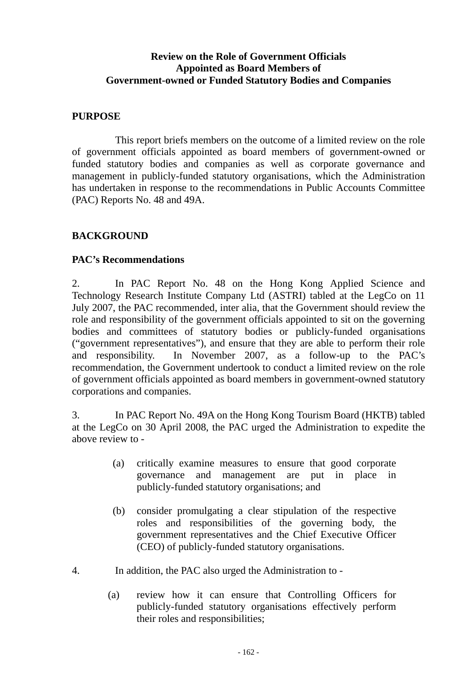# **Review on the Role of Government Officials Appointed as Board Members of Government-owned or Funded Statutory Bodies and Companies**

#### **PURPOSE**

This report briefs members on the outcome of a limited review on the role of government officials appointed as board members of government-owned or funded statutory bodies and companies as well as corporate governance and management in publicly-funded statutory organisations, which the Administration has undertaken in response to the recommendations in Public Accounts Committee (PAC) Reports No. 48 and 49A.

#### **BACKGROUND**

#### **PAC's Recommendations**

2. In PAC Report No. 48 on the Hong Kong Applied Science and Technology Research Institute Company Ltd (ASTRI) tabled at the LegCo on 11 July 2007, the PAC recommended, inter alia, that the Government should review the role and responsibility of the government officials appointed to sit on the governing bodies and committees of statutory bodies or publicly-funded organisations ("government representatives"), and ensure that they are able to perform their role and responsibility. In November 2007, as a follow-up to the PAC's recommendation, the Government undertook to conduct a limited review on the role of government officials appointed as board members in government-owned statutory corporations and companies.

3. In PAC Report No. 49A on the Hong Kong Tourism Board (HKTB) tabled at the LegCo on 30 April 2008, the PAC urged the Administration to expedite the above review to -

- (a) critically examine measures to ensure that good corporate governance and management are put in place in publicly-funded statutory organisations; and
- (b) consider promulgating a clear stipulation of the respective roles and responsibilities of the governing body, the government representatives and the Chief Executive Officer (CEO) of publicly-funded statutory organisations.
- 4. In addition, the PAC also urged the Administration to
	- (a) review how it can ensure that Controlling Officers for publicly-funded statutory organisations effectively perform their roles and responsibilities;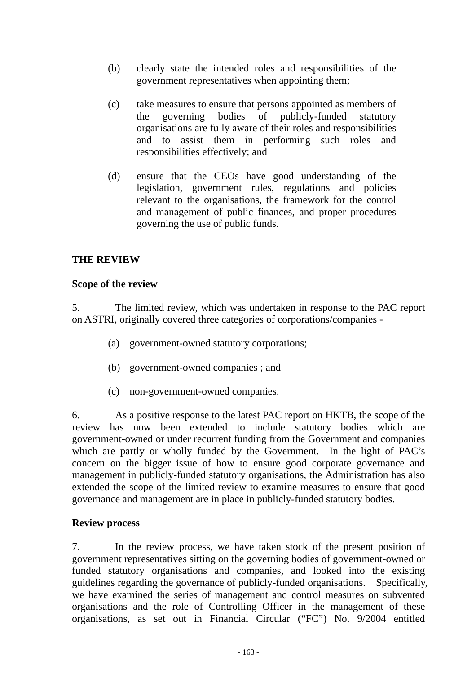- (b) clearly state the intended roles and responsibilities of the government representatives when appointing them;
- (c) take measures to ensure that persons appointed as members of the governing bodies of publicly-funded statutory organisations are fully aware of their roles and responsibilities and to assist them in performing such roles and responsibilities effectively; and
- (d) ensure that the CEOs have good understanding of the legislation, government rules, regulations and policies relevant to the organisations, the framework for the control and management of public finances, and proper procedures governing the use of public funds.

# **THE REVIEW**

#### **Scope of the review**

5. The limited review, which was undertaken in response to the PAC report on ASTRI, originally covered three categories of corporations/companies -

- (a) government-owned statutory corporations;
- (b) government-owned companies ; and
- (c) non-government-owned companies.

6. As a positive response to the latest PAC report on HKTB, the scope of the review has now been extended to include statutory bodies which are government-owned or under recurrent funding from the Government and companies which are partly or wholly funded by the Government. In the light of PAC's concern on the bigger issue of how to ensure good corporate governance and management in publicly-funded statutory organisations, the Administration has also extended the scope of the limited review to examine measures to ensure that good governance and management are in place in publicly-funded statutory bodies.

#### **Review process**

7. In the review process, we have taken stock of the present position of government representatives sitting on the governing bodies of government-owned or funded statutory organisations and companies, and looked into the existing guidelines regarding the governance of publicly-funded organisations. Specifically, we have examined the series of management and control measures on subvented organisations and the role of Controlling Officer in the management of these organisations, as set out in Financial Circular ("FC") No. 9/2004 entitled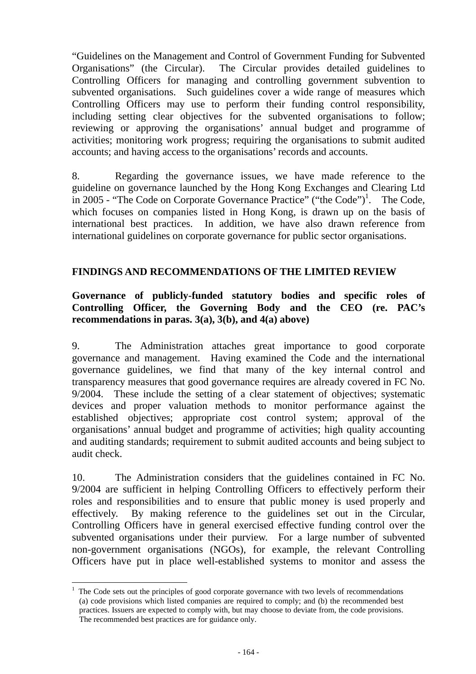"Guidelines on the Management and Control of Government Funding for Subvented Organisations" (the Circular). The Circular provides detailed guidelines to Controlling Officers for managing and controlling government subvention to subvented organisations. Such guidelines cover a wide range of measures which Controlling Officers may use to perform their funding control responsibility, including setting clear objectives for the subvented organisations to follow; reviewing or approving the organisations' annual budget and programme of activities; monitoring work progress; requiring the organisations to submit audited accounts; and having access to the organisations' records and accounts.

8. Regarding the governance issues, we have made reference to the guideline on governance launched by the Hong Kong Exchanges and Clearing Ltd in 2005 - "The Code on Corporate Governance Practice" ("the Code")<sup>1</sup>. The Code, which focuses on companies listed in Hong Kong, is drawn up on the basis of international best practices. In addition, we have also drawn reference from international guidelines on corporate governance for public sector organisations.

#### **FINDINGS AND RECOMMENDATIONS OF THE LIMITED REVIEW**

## **Governance of publicly-funded statutory bodies and specific roles of Controlling Officer, the Governing Body and the CEO (re. PAC's recommendations in paras. 3(a), 3(b), and 4(a) above)**

9. The Administration attaches great importance to good corporate governance and management. Having examined the Code and the international governance guidelines, we find that many of the key internal control and transparency measures that good governance requires are already covered in FC No. 9/2004. These include the setting of a clear statement of objectives; systematic devices and proper valuation methods to monitor performance against the established objectives; appropriate cost control system; approval of the organisations' annual budget and programme of activities; high quality accounting and auditing standards; requirement to submit audited accounts and being subject to audit check.

10. The Administration considers that the guidelines contained in FC No. 9/2004 are sufficient in helping Controlling Officers to effectively perform their roles and responsibilities and to ensure that public money is used properly and effectively. By making reference to the guidelines set out in the Circular, Controlling Officers have in general exercised effective funding control over the subvented organisations under their purview. For a large number of subvented non-government organisations (NGOs), for example, the relevant Controlling Officers have put in place well-established systems to monitor and assess the

 $\overline{a}$ 

<sup>1</sup> The Code sets out the principles of good corporate governance with two levels of recommendations (a) code provisions which listed companies are required to comply; and (b) the recommended best practices. Issuers are expected to comply with, but may choose to deviate from, the code provisions. The recommended best practices are for guidance only.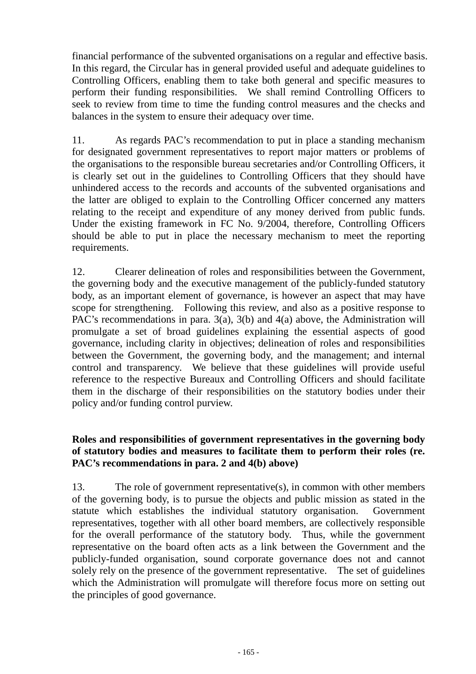financial performance of the subvented organisations on a regular and effective basis. In this regard, the Circular has in general provided useful and adequate guidelines to Controlling Officers, enabling them to take both general and specific measures to perform their funding responsibilities. We shall remind Controlling Officers to seek to review from time to time the funding control measures and the checks and balances in the system to ensure their adequacy over time.

11. As regards PAC's recommendation to put in place a standing mechanism for designated government representatives to report major matters or problems of the organisations to the responsible bureau secretaries and/or Controlling Officers, it is clearly set out in the guidelines to Controlling Officers that they should have unhindered access to the records and accounts of the subvented organisations and the latter are obliged to explain to the Controlling Officer concerned any matters relating to the receipt and expenditure of any money derived from public funds. Under the existing framework in FC No. 9/2004, therefore, Controlling Officers should be able to put in place the necessary mechanism to meet the reporting requirements.

12. Clearer delineation of roles and responsibilities between the Government, the governing body and the executive management of the publicly-funded statutory body, as an important element of governance, is however an aspect that may have scope for strengthening. Following this review, and also as a positive response to PAC's recommendations in para. 3(a), 3(b) and 4(a) above, the Administration will promulgate a set of broad guidelines explaining the essential aspects of good governance, including clarity in objectives; delineation of roles and responsibilities between the Government, the governing body, and the management; and internal control and transparency. We believe that these guidelines will provide useful reference to the respective Bureaux and Controlling Officers and should facilitate them in the discharge of their responsibilities on the statutory bodies under their policy and/or funding control purview.

#### **Roles and responsibilities of government representatives in the governing body of statutory bodies and measures to facilitate them to perform their roles (re. PAC's recommendations in para. 2 and 4(b) above)**

13. The role of government representative(s), in common with other members of the governing body, is to pursue the objects and public mission as stated in the statute which establishes the individual statutory organisation. Government representatives, together with all other board members, are collectively responsible for the overall performance of the statutory body. Thus, while the government representative on the board often acts as a link between the Government and the publicly-funded organisation, sound corporate governance does not and cannot solely rely on the presence of the government representative. The set of guidelines which the Administration will promulgate will therefore focus more on setting out the principles of good governance.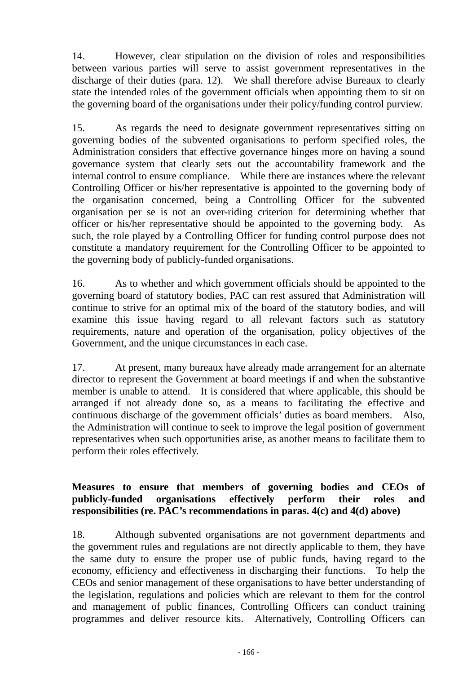14. However, clear stipulation on the division of roles and responsibilities between various parties will serve to assist government representatives in the discharge of their duties (para. 12). We shall therefore advise Bureaux to clearly state the intended roles of the government officials when appointing them to sit on the governing board of the organisations under their policy/funding control purview.

15. As regards the need to designate government representatives sitting on governing bodies of the subvented organisations to perform specified roles, the Administration considers that effective governance hinges more on having a sound governance system that clearly sets out the accountability framework and the internal control to ensure compliance. While there are instances where the relevant Controlling Officer or his/her representative is appointed to the governing body of the organisation concerned, being a Controlling Officer for the subvented organisation per se is not an over-riding criterion for determining whether that officer or his/her representative should be appointed to the governing body. As such, the role played by a Controlling Officer for funding control purpose does not constitute a mandatory requirement for the Controlling Officer to be appointed to the governing body of publicly-funded organisations.

16. As to whether and which government officials should be appointed to the governing board of statutory bodies, PAC can rest assured that Administration will continue to strive for an optimal mix of the board of the statutory bodies, and will examine this issue having regard to all relevant factors such as statutory requirements, nature and operation of the organisation, policy objectives of the Government, and the unique circumstances in each case.

17. At present, many bureaux have already made arrangement for an alternate director to represent the Government at board meetings if and when the substantive member is unable to attend. It is considered that where applicable, this should be arranged if not already done so, as a means to facilitating the effective and continuous discharge of the government officials' duties as board members. Also, the Administration will continue to seek to improve the legal position of government representatives when such opportunities arise, as another means to facilitate them to perform their roles effectively.

## **Measures to ensure that members of governing bodies and CEOs of publicly-funded organisations effectively perform their roles and responsibilities (re. PAC's recommendations in paras. 4(c) and 4(d) above)**

18. Although subvented organisations are not government departments and the government rules and regulations are not directly applicable to them, they have the same duty to ensure the proper use of public funds, having regard to the economy, efficiency and effectiveness in discharging their functions. To help the CEOs and senior management of these organisations to have better understanding of the legislation, regulations and policies which are relevant to them for the control and management of public finances, Controlling Officers can conduct training programmes and deliver resource kits. Alternatively, Controlling Officers can